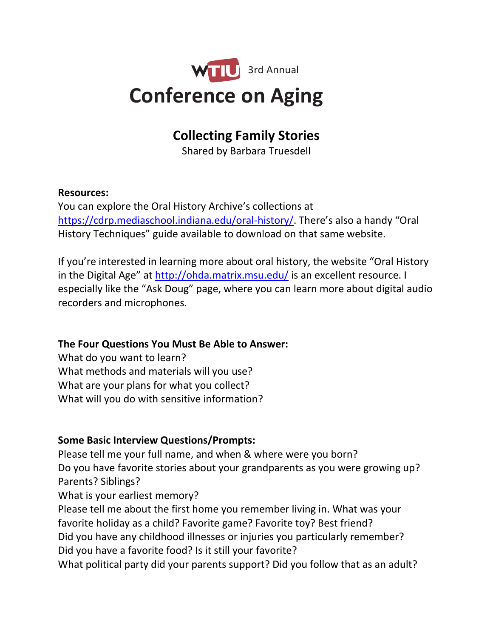

## **Collecting Family Stories**

Shared by Barbara Truesdell

## **Resources:**

You can explore the Oral History Archive's collections at <https://cdrp.mediaschool.indiana.edu/oral-history/>. There's also a handy "Oral History Techniques" guide available to download on that same website.

If you're interested in learning more about oral history, the website "Oral History in the Digital Age" at <http://ohda.matrix.msu.edu/> is an excellent resource. I especially like the "Ask Doug" page, where you can learn more about digital audio recorders and microphones.

## **The Four Questions You Must Be Able to Answer:**

What do you want to learn? What methods and materials will you use? What are your plans for what you collect? What will you do with sensitive information?

## **Some Basic Interview Questions/Prompts:**

Please tell me your full name, and when & where were you born? Do you have favorite stories about your grandparents as you were growing up? Parents? Siblings?

What is your earliest memory?

Please tell me about the first home you remember living in. What was your favorite holiday as a child? Favorite game? Favorite toy? Best friend? Did you have any childhood illnesses or injuries you particularly remember? Did you have a favorite food? Is it still your favorite? What political party did your parents support? Did you follow that as an adult?